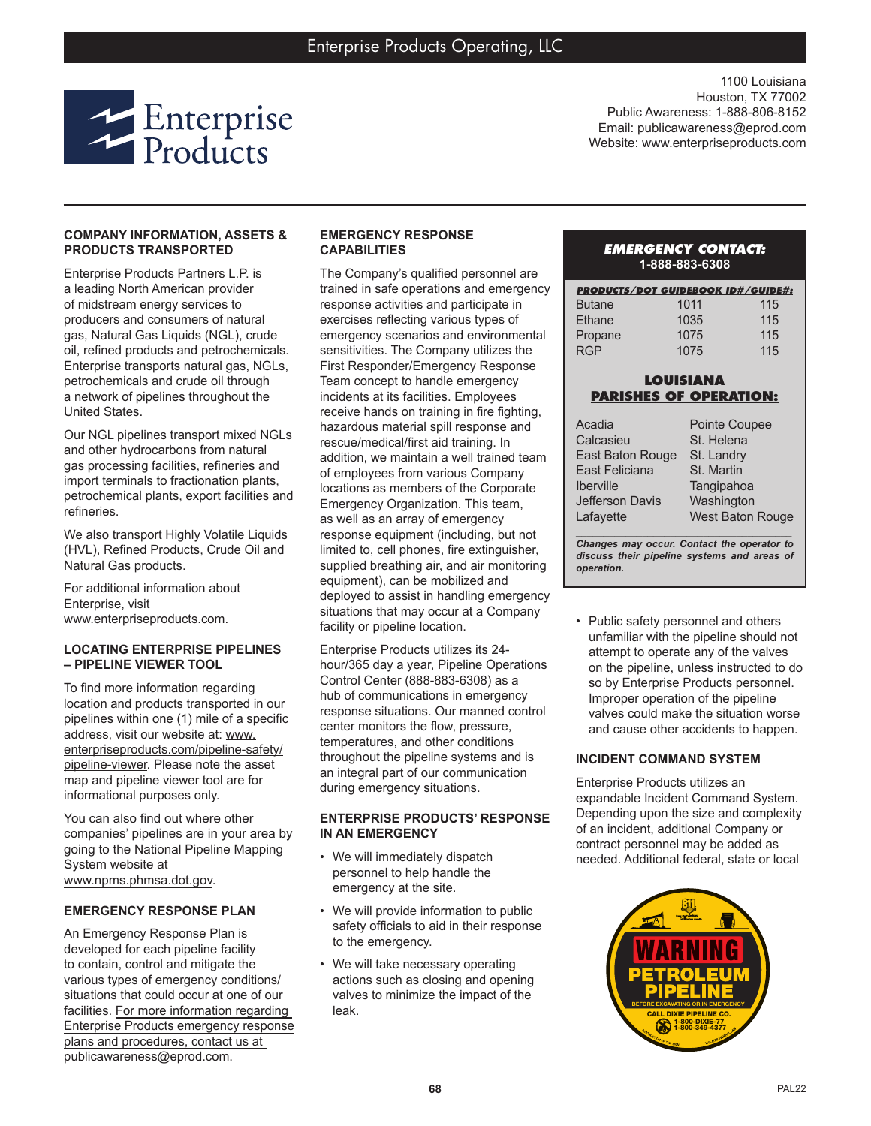

1100 Louisiana Houston, TX 77002 Public Awareness: 1-888-806-8152 Email: publicawareness@eprod.com Website: www.enterpriseproducts.com

#### **COMPANY INFORMATION, ASSETS & PRODUCTS TRANSPORTED**

Enterprise Products Partners L.P. is a leading North American provider of midstream energy services to producers and consumers of natural gas, Natural Gas Liquids (NGL), crude oil, refined products and petrochemicals. Enterprise transports natural gas, NGLs, petrochemicals and crude oil through a network of pipelines throughout the United States.

Our NGL pipelines transport mixed NGLs and other hydrocarbons from natural gas processing facilities, refineries and import terminals to fractionation plants, petrochemical plants, export facilities and refineries.

We also transport Highly Volatile Liquids (HVL), Refined Products, Crude Oil and Natural Gas products.

For additional information about Enterprise, visit www.enterpriseproducts.com.

#### **LOCATING ENTERPRISE PIPELINES – PIPELINE VIEWER TOOL**

To find more information regarding location and products transported in our pipelines within one (1) mile of a specific address, visit our website at: www. enterpriseproducts.com/pipeline-safety/ pipeline-viewer. Please note the asset map and pipeline viewer tool are for informational purposes only.

You can also find out where other companies' pipelines are in your area by going to the National Pipeline Mapping System website at www.npms.phmsa.dot.gov.

# **EMERGENCY RESPONSE PLAN**

An Emergency Response Plan is developed for each pipeline facility to contain, control and mitigate the various types of emergency conditions/ situations that could occur at one of our facilities. For more information regarding Enterprise Products emergency response plans and procedures, contact us at publicawareness@eprod.com.

### **EMERGENCY RESPONSE CAPABILITIES**

The Company's qualified personnel are trained in safe operations and emergency response activities and participate in exercises reflecting various types of emergency scenarios and environmental sensitivities. The Company utilizes the First Responder/Emergency Response Team concept to handle emergency incidents at its facilities. Employees receive hands on training in fire fighting, hazardous material spill response and rescue/medical/first aid training. In addition, we maintain a well trained team of employees from various Company locations as members of the Corporate Emergency Organization. This team, as well as an array of emergency response equipment (including, but not limited to, cell phones, fire extinguisher, supplied breathing air, and air monitoring equipment), can be mobilized and deployed to assist in handling emergency situations that may occur at a Company facility or pipeline location.

Enterprise Products utilizes its 24 hour/365 day a year, Pipeline Operations Control Center (888-883-6308) as a hub of communications in emergency response situations. Our manned control center monitors the flow, pressure, temperatures, and other conditions throughout the pipeline systems and is an integral part of our communication during emergency situations.

#### **ENTERPRISE PRODUCTS' RESPONSE IN AN EMERGENCY**

- We will immediately dispatch personnel to help handle the emergency at the site.
- We will provide information to public safety officials to aid in their response to the emergency.
- We will take necessary operating actions such as closing and opening valves to minimize the impact of the leak.

### *EMERGENCY CONTACT:* **1-888-883-6308**

| <b>PRODUCTS/DOT GUIDEBOOK ID#/GUIDE#:</b> |      |     |
|-------------------------------------------|------|-----|
| <b>Butane</b>                             | 1011 | 115 |
| Ethane                                    | 1035 | 115 |
| Propane                                   | 1075 | 115 |
| <b>RGP</b>                                | 1075 | 115 |

### **LOUISIANA PARISHES OF OPERATION:**

| Acadia           | <b>Pointe Coupee</b>    |
|------------------|-------------------------|
| Calcasieu        | St. Helena              |
| East Baton Rouge | St. Landry              |
| East Feliciana   | St. Martin              |
| <b>Iberville</b> | Tangipahoa              |
| Jefferson Davis  | Washington              |
| Lafayette        | <b>West Baton Rouge</b> |
|                  |                         |

*Changes may occur. Contact the operator to discuss their pipeline systems and areas of operation.*

• Public safety personnel and others unfamiliar with the pipeline should not attempt to operate any of the valves on the pipeline, unless instructed to do so by Enterprise Products personnel. Improper operation of the pipeline valves could make the situation worse and cause other accidents to happen.

# **INCIDENT COMMAND SYSTEM**

Enterprise Products utilizes an expandable Incident Command System. Depending upon the size and complexity of an incident, additional Company or contract personnel may be added as needed. Additional federal, state or local